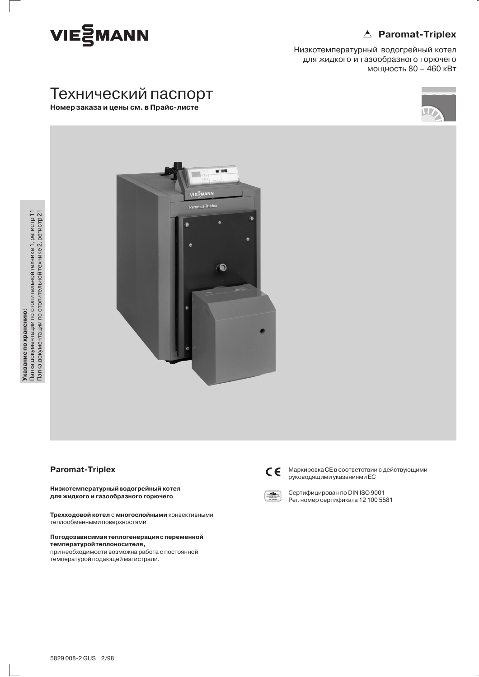# △ Paromat-Triplex



Низкотемпературный водогрейный котел для жидкого и газообразного горючего мощность 80 - 460 кВт

# Технический паспорт Номер заказа и цены см. в Прайс-листе





## **Paromat-Triplex**

Низкотемпературный водогрейный котел для жидкого и газообразного горючего

Трехходовой котел с многослойными конвективными теплообменными поверхностями

### Погодозависимая теплогенерация с переменной температуройтеплоносителя,

при необходимости возможна работа с постоянной температурой подающей магистрали.



Маркировка СЕ в соответствии с действующими руководящими указаниями ЕС



Сертифицирован по DIN ISO 9001 Рег. номер сертификата 12 100 5581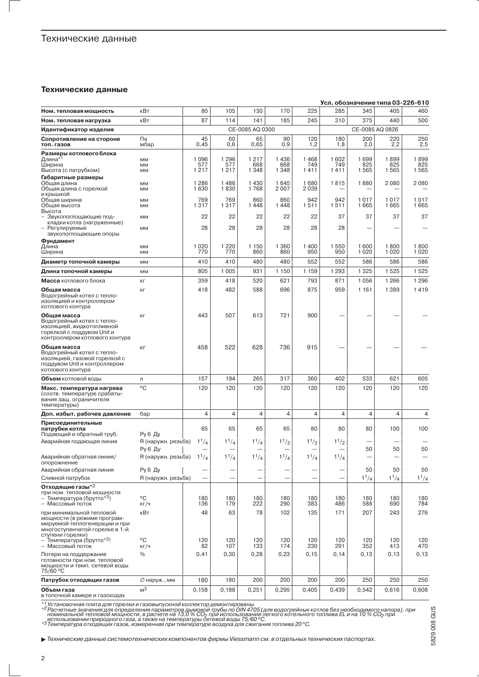## Технические данные

### Технические данные

|                                                                                                                                                                                        |                                                     |                        |                           |                           |                        |                        |                        | Усл. обозначение типа 03-226-610 |                     |                     |
|----------------------------------------------------------------------------------------------------------------------------------------------------------------------------------------|-----------------------------------------------------|------------------------|---------------------------|---------------------------|------------------------|------------------------|------------------------|----------------------------------|---------------------|---------------------|
| Ном. тепловая мощность                                                                                                                                                                 | кВт                                                 | 80                     | 105                       | 130                       | 170                    | 225                    | 285                    | 345                              | 405                 | 460                 |
| Ном. тепловая нагрузка                                                                                                                                                                 | кВт                                                 | 87                     | 114                       | 141                       | 185                    | 245                    | 310                    | 375                              | 440                 | 500                 |
| Идентификатор изделия                                                                                                                                                                  |                                                     |                        |                           | CE-0085 AQ 0300           |                        |                        |                        |                                  | CE-0085 AQ 0826     |                     |
| Сопротивление на стороне<br>топ. газов                                                                                                                                                 | Па<br>мбар                                          | 45<br>0,45             | 60<br>0,6                 | 65<br>0,65                | 90<br>0,9              | 120<br>1,2             | 180<br>1,8             | 200<br>2,0                       | 220<br>2,2          | 250<br>2,5          |
| Размеры котлового блока<br>Длина* <sup>1</sup><br>Ширина<br>Высота (с патрубком)                                                                                                       | MM<br>MM<br><b>MM</b>                               | 1096<br>577<br>1217    | 1 2 9 6<br>577<br>1217    | 1 2 1 7<br>668<br>1 3 4 8 | 1436<br>668<br>1 3 4 8 | 1468<br>749<br>1411    | 1602<br>749<br>1411    | 1699<br>825<br>1565              | 1899<br>825<br>1565 | 1899<br>825<br>1565 |
| Габаритные размеры<br>Общая длина<br>Общая длина с горелкой<br>и крышкой                                                                                                               | MM<br>MM                                            | 1 2 8 6<br>1630        | 1486<br>1830              | 1430<br>1768              | 1645<br>2007           | 1680<br>2039           | 1815                   | 1880                             | 2080                | 2080                |
| Общая ширина<br>Общая высота<br>Высота                                                                                                                                                 | MM<br><b>MM</b>                                     | 769<br>1317            | 769<br>1317               | 860<br>1448               | 860<br>1448            | 942<br>1511            | 942<br>1511            | 1017<br>1665                     | 1017<br>1665        | 1017<br>1665        |
| Звукопоглощающие под-<br>кладки котла (нагруженные)<br>Регулируемые                                                                                                                    | MM<br>MM                                            | 22<br>28               | 22<br>28                  | 22<br>28                  | 22<br>28               | 22<br>28               | 37<br>28               | 37                               | 37                  | 37                  |
| звукопоглощающие опоры<br>Фундамент<br>Длина<br>Ширина                                                                                                                                 | <b>MM</b>                                           | 1020<br>770            | 1 2 2 0<br>770            | 1 150<br>860              | 1 3 6 0<br>860         | 1400<br>950            | 1550<br>950            | 1600<br>1 0 2 0                  | 1800<br>1020        | 1800<br>1 0 2 0     |
| Диаметр топочной камеры                                                                                                                                                                | MM<br>MM                                            | 410                    | 410                       | 480                       | 480                    | 552                    | 552                    | 586                              | 586                 | 586                 |
| Длина топочной камеры                                                                                                                                                                  | MM                                                  | 805                    | 1 0 0 5                   | 931                       | 1 1 5 0                | 1 1 5 9                | 1 2 9 3                | 1 3 2 5                          | 1525                | 1525                |
| <b>Масса</b> котлового блока                                                                                                                                                           | KГ                                                  | 359                    | 418                       | 520                       | 621                    | 793                    | 871                    | 1056                             | 1 2 6 6             | 1 2 9 6             |
| Общая масса<br>Водогрейный котел с тепло-<br>изоляцией и контроллером<br>котлового контура                                                                                             | KГ                                                  | 418                    | 482                       | 588                       | 696                    | 875                    | 959                    | 1 1 6 1                          | 1389                | 1419                |
| Общая масса<br>Водогрейный котел с тепло-<br>изоляцией, жидкотопливной<br>горелкой с поддувом Unit и<br>контроллером котлового контура                                                 | KГ                                                  | 443                    | 507                       | 613                       | 721                    | 900                    |                        |                                  |                     |                     |
| Общая масса<br>Водогрейный котел с тепло-<br>изоляцией, газовой горелкой с<br>поддувом Unit и контроллером<br>котлового контура                                                        | KГ                                                  | 458                    | 522                       | 628                       | 736                    | 915                    |                        |                                  |                     |                     |
| <b>Объем</b> котловой воды                                                                                                                                                             | Л                                                   | 157                    | 194                       | 265                       | 317                    | 360                    | 402                    | 533                              | 621                 | 605                 |
| Макс. температура нагрева<br>(соотв. температуре срабаты-<br>вания защ. ограничителя<br>температуры)                                                                                   | °C                                                  | 120                    | 120                       | 120                       | 120                    | 120                    | 120                    | 120                              | 120                 | 120                 |
| Доп. избыт. рабочее давление                                                                                                                                                           | бар                                                 | $\overline{4}$         | 4                         | 4                         | 4                      | 4                      | 4                      | 4                                | 4                   | 4                   |
| Присоединительные<br>патрубки котла<br>Подающий и обратный труб.                                                                                                                       | Ру 6 Ду                                             | 65                     | 65                        | 65                        | 65                     | 80                     | 80                     | 80                               | 100                 | 100                 |
| Аварийная подающая линия<br>Аварийная обратная линия/                                                                                                                                  | R (наружн. резьба)<br>Ру 6 Ду<br>R (наружн. резьба) | $1^{1}/4$<br>$1^{1}/4$ | $1^{1}/_{4}$<br>$1^{1}/4$ | $1^{1}/_{4}$<br>$1^{1}/4$ | $1^{1}/2$<br>$1^{1}/4$ | $1^{1}/2$<br>$1^{1}/4$ | $1^{1}/2$<br>$1^{1}/4$ | 50                               | 50                  | 50                  |
| опорожнение                                                                                                                                                                            |                                                     |                        |                           |                           |                        |                        |                        |                                  |                     |                     |
| Аварийная обратная линия<br>Сливной патрубок                                                                                                                                           | <b>Ру 6 Ду</b><br>R (наружн. резьба)                | -<br>-                 | -                         |                           | -                      | -                      | -                      | 50<br>$1^{1}/_{4}$               | 50<br>$1^{1}/_{4}$  | 50<br>$1^{1}/_{4}$  |
| Отходящие газы*2<br>при ном. тепловой мощности<br>– Температура (брутто* <sup>3</sup> )<br>- Массовый поток                                                                            | °C<br>KT/4                                          | 180<br>136             | 180<br>179                | 180<br>222                | 180<br>290             | 180<br>383             | 180<br>486             | 180<br>588                       | 180<br>690          | 180<br>784          |
| при минимальной тепловой<br>мощности (в режиме програм-<br>мируемой теплогенерации и при<br>многоступенчатой горелке в 1-й<br>ступени горелки)<br>– Температура (брутто* <sup>3)</sup> | кВт<br>°C                                           | 48<br>120              | 63<br>120                 | 78<br>120                 | 102<br>120             | 135<br>120             | 171<br>120             | 207<br>120                       | 243<br>120          | 276<br>120          |
| - Массовый поток<br>Потери на поддержание<br>готовности при ном. тепловой<br>мощности и темп. сетевой воды<br>75/60 °C                                                                 | КГ/Ч<br>$\%$                                        | 82<br>0,41             | 107<br>0,30               | 133<br>0,28               | 174<br>0,23            | 230<br>0, 15           | 291<br>0,14            | 352<br>0, 13                     | 413<br>0, 13        | 470<br>0, 13        |
| Патрубок отходящих газов                                                                                                                                                               | ⊘ наруж., мм                                        | 180                    | 180                       | 200                       | 200                    | 200                    | 200                    | 250                              | 250                 | 250                 |
| Объем газа<br>в топочной камере и газоходах                                                                                                                                            | M <sup>3</sup>                                      | 0,158                  | 0,188                     | 0,251                     | 0,295                  | 0,405                  | 0,439                  | 0,542                            | 0,616               | 0,608               |

\*<sup>1</sup> Установочная плита для горелки и газовыпускной коллектор демонтированы.<br>\*2 Расчетные значения для определения параметров дымовой трубы по DIN 4705 (для водогрейных котлов без необходимого напора), при<br><sup>\*2</sup> Расчетные

• Технические данные системотехнических компонентов фирмы Viessmann см. в отдельных технических паспортах.

5829008 GUS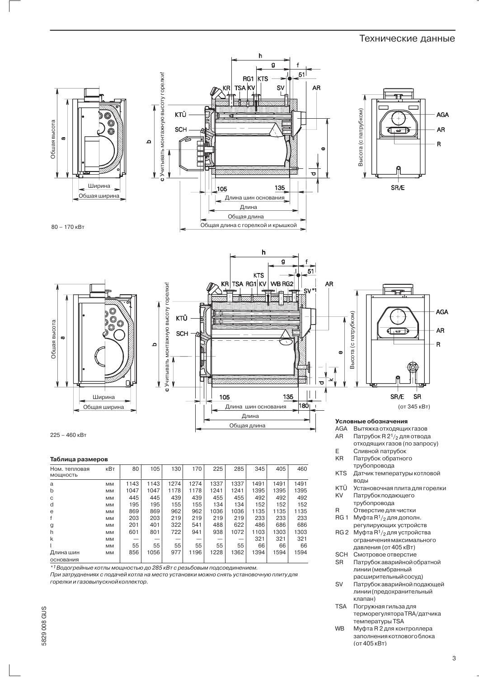## Технические данные



5829008 GUS

**TSA** Погружная гильза для терморегулятора TRA/датчика температуры TSA

**W<sub>R</sub>** Муфта R 2 для контроллера заполнения котлового блока (от 405 кВт)

3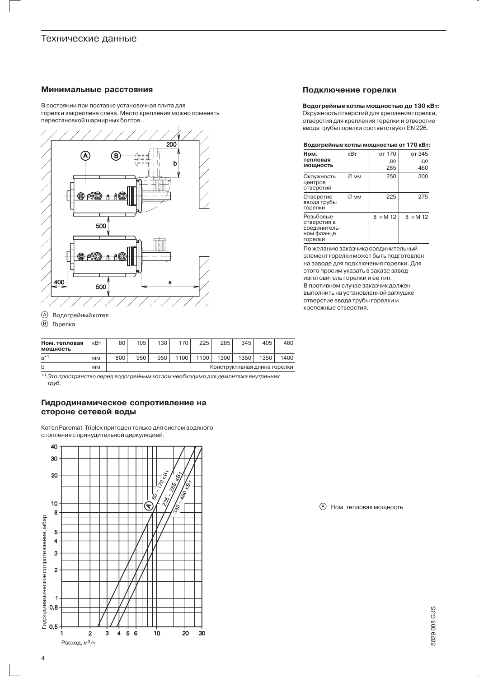## Технические данные

### Минимальные расстояния

В состоянии при поставке установочная плита для горелки закреплена слева. Место крепления можно поменять перестановкой шарнирных болтов.



## **(А)** Водогрейный котел

® Горелка

| Ном. тепловая<br><b>МОШНОСТЬ</b> | кВт       | 80  | 105 | 130 <sub>1</sub> | 170  | 225  | 285                          | 345  | 405  | 460  |
|----------------------------------|-----------|-----|-----|------------------|------|------|------------------------------|------|------|------|
| a* <sup>1</sup>                  | <b>MM</b> | 800 | 950 | 950              | 1100 | 100. | 1300                         | 1350 | 1350 | 1400 |
|                                  | <b>MM</b> |     |     |                  |      |      | Конструктивная длина горелки |      |      |      |

 $*1$ Это пространство перед водогрейным котлом необходимо для демонтажа внутренних труб.

## Гидродинамическое сопротивление на стороне сетевой воды

Котел Paromat-Triplex пригоден только для систем водяного отопления с принудительной циркуляцией.



### Подключение горелки

Водогрейные котлы мощностью до 130 кВт: Окружность отверстий для крепления горелки, отверстия для крепления горелки и отверстие ввода трубы горелки соответствуют EN 226.

| Водогрейные котлы мощностью от 170 кВт: |  |
|-----------------------------------------|--|

| Ном.                                                              | кВт              | от 170          | от 345          |
|-------------------------------------------------------------------|------------------|-----------------|-----------------|
| тепловая<br>мощность                                              |                  | ДО<br>285       | ДΟ<br>460       |
| Окружность<br>центров<br>отверстий                                | $\varnothing$ mm | 250             | 300             |
| Отверстие<br>ввода трубы<br>горелки                               | $\varnothing$ mm | 225             | 275             |
| Резьбовые<br>отверстия в<br>соединитель-<br>ном фланце<br>горелки |                  | $8 \times M$ 12 | $8 \times M$ 12 |

По желанию заказчика соединительный элемент горелки может быть подготовлен на заводе для подключения горелки. Для этого просим указать в заказе заводизготовитель горелки и ее тип. В противном случае заказчик должен выполнить на установленной заглушке отверстие ввода трубы горелки и крепежные отверстия.

**(A)** Ном. тепловая мощность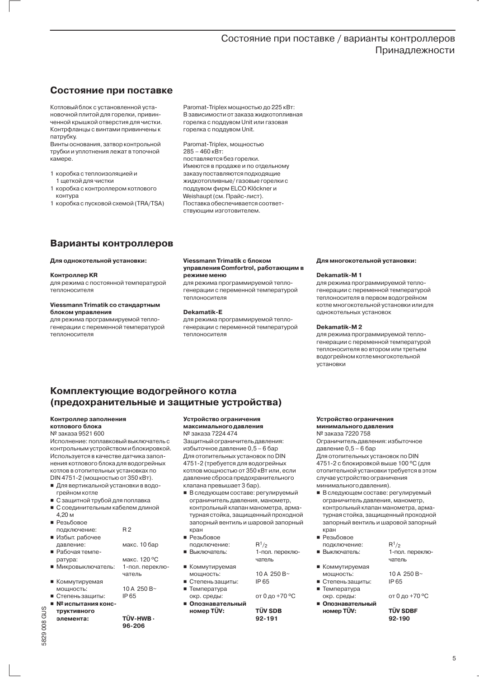# Состояние при поставке / варианты контроллеров Принадлежности

# Состояние при поставке

Котловый блок с установленной установочной плитой для горелки, привинченной крышкой отверстия для чистки. Контрфланцы с винтами привинчены к патрубку.

Винты основания, затвор контрольной трубки и уплотнения лежат в топочной камере.

- 1 коробка с теплоизоляцией и 1 шеткой для чистки
- 1 коробка с контроллером котлового контура
- 1 коробка с пусковой схемой (TRA/TSA)

Paromat-Triplex мощностью ло 225 кВт: В зависимости от заказа жидкотопливная горелка с поддувом Unit или газовая горелка с поддувом Unit.

Paromat-Triplex, мощностью  $285 - 460$  KBT: поставляется без горелки. Имеются в продаже и по отдельному заказу поставляются подходящие жидкотопливные/газовые горелки с поддувом фирм ELCO Klöckner и Weishaupt (см. Прайс-лист). Поставка обеспечивается соответствующим изготовителем.

# Варианты контроллеров

### Для однокотельной установки:

### Контроллер KR

для режима с постоянной температурой теплоносителя

#### Viessmann Trimatik со стандартным блоком управления

для режима программируемой теплогенерации с переменной температурой теплоносителя

#### Viessmann Trimatik с блоком управления Comfortrol, работающим в режиме меню

для режима программируемой теплогенерации с переменной температурой теплоносителя

#### Dekamatik-E

для режима программируемой теплогенерации с переменной температурой теплоносителя

#### Для многокотельной установки:

#### Dekamatik-M1

для режима программируемой теплогенерации с переменной температурой теплоносителя в первом водогрейном котле многокотельной установки или для однокотельных установок

### Dekamatik-M2

для режима программируемой теплогенерации с переменной температурой теплоносителя во втором или третьем водогрейном котлемногокотельной установки

# Комплектующие водогрейного котла (предохранительные и защитные устройства)

## Контроллер заполнения

#### котлового блока № заказа 9521 600

Исполнение: поплавковый выключатель с контрольным устройством и блокировкой. Используется в качестве датчика заполнения котлового блока для водогрейных котлов в отопительных установках по DIN 4751-2 (мощностью от 350 кВт).

- Для вертикальной установки в водогрейном котле
- 
- С защитной трубой для поплавка
- С соединительным кабелем длиной  $4.20<sub>M</sub>$

| подключение:        | R <sub>2</sub>    |
|---------------------|-------------------|
| ■ Избыт рабочее     |                   |
| давление:           | макс. 10 бар      |
| ■ Рабочая темпе-    |                   |
| ратура:             | макс. 120 °С      |
| ■ Микровыключатель: | 1-пол. переклю-   |
|                     | чатель            |
| ■ Коммутируемая     |                   |
| мощность:           | 10 A 250 B $\sim$ |
| ■ Степень защиты:   | IP 65             |
| ■ № испытания конс- |                   |

5829 008 GUS

TÜV-HWB -96-206

#### Устройство ограничения максимального давления № заказа 7224 474

Зашитный ограничитель лавления: избыточное давление 0,5 - 6 бар Для отопительных установок по DIN 4751-2 (требуется для водогрейных котлов мощностью от 350 кВт или, если давление сброса предохранительного клапана превышает 3 бар).

- В следующем составе: регулируемый ограничитель давления, манометр, контрольный клапан манометра, арматурная стойка, зашищенный проходной запорный вентиль и шаровой запорный кран
- Резьбовое
- $R^{1}/_{2}$ ПОЛКЛЮЧАНИА' ■ Выключатель: 1-пол. переключатель
- Коммутируемая мошность:
- Степень защиты: ■ Температура
- окр. среды:
- Опознавательный номер TÜV:

**TÜV SDR** 92-191

IP 65

10 A 250 B $\sim$ 

от 0 до +70 °С

#### Устройство ограничения минимального давления

№ заказа 7220 758 Ограничитель давления: избыточное давление 0,5 - 6 бар Для отопительных установок по DIN 4751-2 с блокировкой выше 100 °С (для отопительной установки требуется в этом случае устройство ограничения минимального давления).

- В следующем составе: регулируемый ограничитель давления, манометр, контрольный клапан манометра, арматурная стойка, защищенный проходной запорный вентиль и шаровой запорный кран
- Резьбовое
- полключение. ■ Выключатель:
- Коммутируемая  $\blacksquare$ мошность:
- Степень защиты: Температура
- окр. среды:
- Опознавательный номер TÜV:

 $R^1/2$ 1-пол. переключатель

10 A 250 B $\sim$ IP 65

от 0 до +70 °С

**TÜV SDRE** 92-190

 $\overline{5}$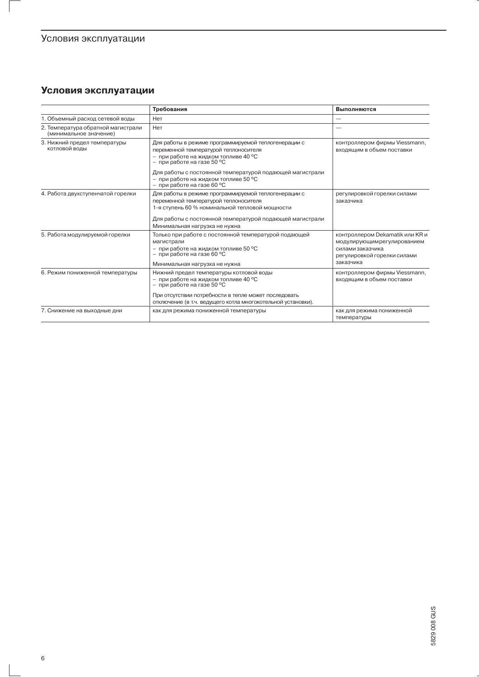# Условия эксплуатации

-1

# Условия эксплуатации

|                                                              | Требования                                                                                                                                                                                                                                   | Выполняются                                                                                                                    |
|--------------------------------------------------------------|----------------------------------------------------------------------------------------------------------------------------------------------------------------------------------------------------------------------------------------------|--------------------------------------------------------------------------------------------------------------------------------|
| 1. Объемный расход сетевой воды                              | Нет                                                                                                                                                                                                                                          |                                                                                                                                |
| 2. Температура обратной магистрали<br>(минимальное значение) | Нет                                                                                                                                                                                                                                          |                                                                                                                                |
| 3. Нижний предел температуры<br>котловой воды                | Для работы в режиме программируемой теплогенерации с<br>переменной температурой теплоносителя<br>- при работе на жидком топливе 40 °С<br>- при работе на газе 50 °С                                                                          | контроллером фирмы Viessmann,<br>входящим в объем поставки                                                                     |
|                                                              | Для работы с постоянной температурой подающей магистрали<br>- при работе на жидком топливе 50 °С<br>- при работе на газе 60 °С                                                                                                               |                                                                                                                                |
| 4. Работа двухступенчатой горелки                            | Для работы в режиме программируемой теплогенерации с<br>переменной температурой теплоносителя<br>1-я ступень 60 % номинальной тепловой мощности<br>Для работы с постоянной температурой подающей магистрали<br>Минимальная нагрузка не нужна | регулировкой горелки силами<br>заказчика                                                                                       |
| 5. Работа модулируемой горелки                               | Только при работе с постоянной температурой подающей<br>магистрали<br>- при работе на жидком топливе 50 °С<br>- при работе на газе 60 °С<br>Минимальная нагрузка не нужна                                                                    | контроллером Dekamatik или KR и<br>модулирующим регулированием<br>силами заказчика<br>регулировкой горелки силами<br>заказчика |
| 6. Режим пониженной температуры                              | Нижний предел температуры котловой воды<br>- при работе на жидком топливе 40 °С<br>- при работе на газе 50 °С<br>При отсутствии потребности в тепле может последовать<br>отключение (в т.ч. ведущего котла многокотельной установки).        | контроллером фирмы Viessmann,<br>входящим в объем поставки                                                                     |
| 7. Снижение на выходные дни                                  | как для режима пониженной температуры                                                                                                                                                                                                        | как для режима пониженной<br>температуры                                                                                       |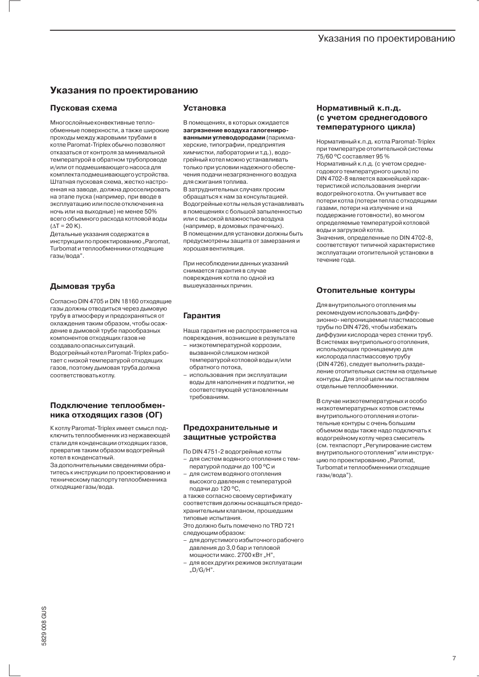# Указания по проектированию

# Указания по проектированию

## Пусковая схема

Многослойные конвективные теплообменные поверхности, а также широкие проходы между жаровыми трубами в котле Paromat-Triplex обычно позволяют отказаться от контроля за минимальной температурой в обратном трубопроводе и/или от подмешивающего насоса для комплекта подмешивающего устройства. Штатная пусковая схема, жестко настроенная на заводе, должна дросселировать на этапе пуска (например, при вводе в эксплуатацию или после отключения на ночь или на выходные) не менее 50% всего объемного расхода котловой воды  $(\triangle T = 20 \text{ K}).$ 

Детальные указания содержатся в инструкции по проектированию "Paromat, Turbomat и теплообменники отходящие газы/вода".

## Дымовая труба

Согласно DIN 4705 и DIN 18160 отходящие газы должны отводиться через дымовую трубу в атмосферу и предохраняться от охлаждения таким образом, чтобы осаждение в дымовой трубе парообразных компонентов отходящих газов не создавало опасных ситуаций. Вологрейный котел Paromat-Triplex работает с низкой температурой отходящих газов, поэтому дымовая труба должна соответствовать котлу.

## Подключение теплообменника отходящих газов (ОГ)

К котлу Paromat-Triplex имеет смысл подключить теплообменник из нержавеющей стали для конденсации отходящих газов. превратив таким образом водогрейный котел в конденсатный.

За дополнительными сведениями обратитесь к инструкции по проектированию и техническому паспорту теплообменника отходящие газы/вода.

### **Установка**

В помещениях, в которых ожидается загрязнение воздуха галогенированными углеводородами (парикмахерские, типографии, предприятия химчистки, лаборатории и т.д.), водогрейный котел можно устанавливать только при условии надежного обеспечения подачи незагрязненного воздуха для сжигания топлива. В затруднительных случаях просим обращаться к нам за консультацией. Водогрейные котлы нельзя устанавливать в помещениях с большой запыленностью

или с высокой влажностью воздуха (например, в домовых прачечных). В помещении для установки должны быть предусмотрены защита от замерзания и хорошая вентиляция.

При несоблюдении данных указаний СНИМАЕТСЯ ГАРАНТИЯ В СЛУЧАЄ повреждения котла по одной из вышеуказанных причин.

## **Гарантия**

Наша гарантия не распространяется на повреждения, возникшие в результате

- низкотемпературной коррозии, вызванной слишком низкой температурой котловой воды и/или обратного потока.
- использования при эксплуатации воды для наполнения и подпитки, не соответствующей установленным требованиям.

### Предохранительные и защитные устройства

По DIN 4751-2 водогрейные котлы для систем водяного отопления с тем-

- пературой подачи до 100 °С и
- для систем водяного отопления высокого давления с температурой подачи до 120 °С,

а также согласно своему сертификату соответствия должны оснащаться предохранительным клапаном, прошедшим типовые испытания.

Это должно быть помечено по TRD 721 следующим образом:

- для допустимого избыточного рабочего давления до 3,0 бар и тепловой мощности макс. 2700 кВт "Н",
- для всех других режимов эксплуатации  $.D/G/H$ ".

## Нормативный к.п.д. (с учетом среднегодового температурного цикла)

Нормативный к.п.д. котла Paromat-Triplex при температуре отопительной системы 75/60 °С составляет 95 % Нормативный к.п.д. (с учетом среднегодового температурного цикла) по DIN 4702-8 является важнейшей характеристикой использования энергии водогрейного котла. Он учитывает все потери котла (потери тепла с отходящими газами, потери на излучение и на поддержание готовности), во многом определяемые температурой котловой воды и загрузкой котла. Значения, определенные по DIN 4702-8. соответствуют типичной характеристике

эксплуатации отопительной установки в течение года.

## Отопительные контуры

Для внутрипольного отопления мы рекомендуем использовать диффузионно-непроницаемые пластмассовые трубы по DIN 4726, чтобы избежать диффузии кислорода через стенки труб. В системах внутрипольного отопления, использующих проницаемую для кислорода пластмассовую трубу (DIN 4726), следует выполнить разделение отопительных систем на отдельные контуры. Для этой цели мы поставляем отдельные теплообменники.

В случае низкотемпературных и особо низкотемпературных котлов системы ВНУТРИПОЛЬНОГО ОТОПЛЕНИЯ И ОТОПИтельные контуры с очень большим объемом воды также надо подключать к водогрейному котлу через смеситель (см. техпаспорт "Регулирование систем внутрипольного отопления" или инструкцию по проектированию "Paromat, Turbomat и теплообменники отходящие газы/вола").